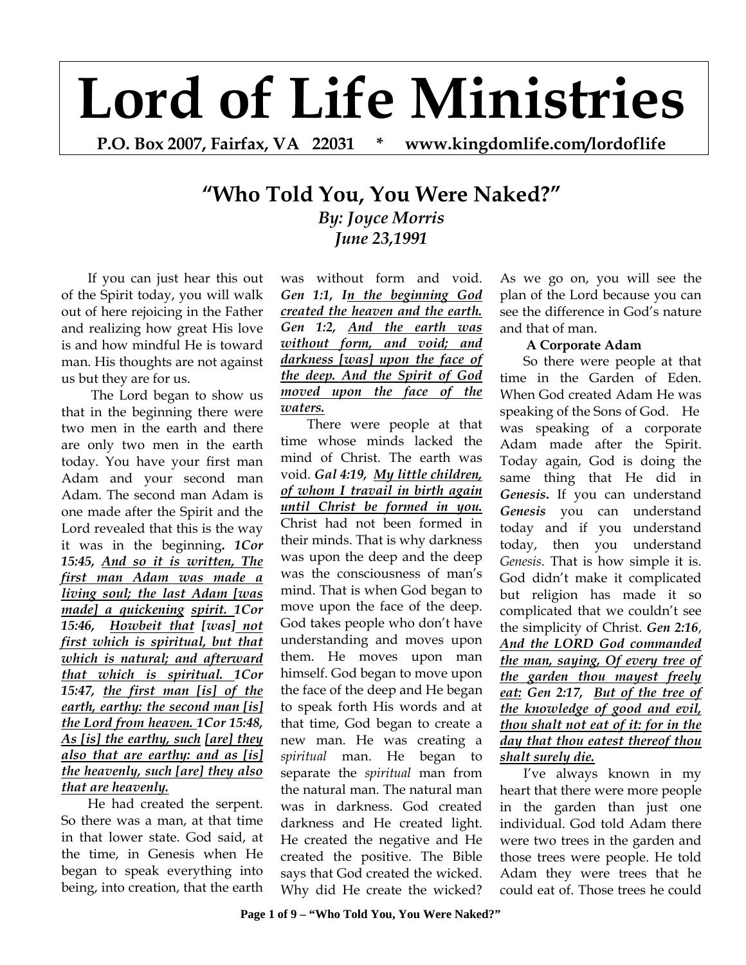# **Lord of Life Ministries**

**P.O. Box 2007, Fairfax, VA 22031 \* www.kingdomlife.com/lordoflife** 

# **"Who Told You, You Were Naked?"** *By: Joyce Morris June 23,1991*

If you can just hear this out of the Spirit today, you will walk out of here rejoicing in the Father and realizing how great His love is and how mindful He is toward man. His thoughts are not against us but they are for us.

 The Lord began to show us that in the beginning there were two men in the earth and there are only two men in the earth today. You have your first man Adam and your second man Adam. The second man Adam is one made after the Spirit and the Lord revealed that this is the way it was in the beginning**.** *1Cor 15:45, And so it is written, The first man Adam was made a living soul; the last Adam [was made] a quickening spirit. 1Cor 15:46, Howbeit that [was] not first which is spiritual, but that which is natural; and afterward that which is spiritual. 1Cor 15:47, the first man [is] of the earth, earthy: the second man [is] the Lord from heaven. 1Cor 15:48, As [is] the earthy, such [are] they also that are earthy: and as [is] the heavenly, such [are] they also that are heavenly.* 

He had created the serpent. So there was a man, at that time in that lower state. God said, at the time, in Genesis when He began to speak everything into being, into creation, that the earth

was without form and void. *Gen 1:1, In the beginning God created the heaven and the earth. Gen 1:2, And the earth was without form, and void; and darkness [was] upon the face of the deep. And the Spirit of God moved upon the face of the waters.* 

There were people at that time whose minds lacked the mind of Christ. The earth was void. *Gal 4:19, My little children, of whom I travail in birth again until Christ be formed in you.*  Christ had not been formed in their minds. That is why darkness was upon the deep and the deep was the consciousness of man's mind. That is when God began to move upon the face of the deep. God takes people who don't have understanding and moves upon them. He moves upon man himself. God began to move upon the face of the deep and He began to speak forth His words and at that time, God began to create a new man. He was creating a *spiritual* man. He began to separate the *spiritual* man from the natural man. The natural man was in darkness. God created darkness and He created light. He created the negative and He created the positive. The Bible says that God created the wicked. Why did He create the wicked?

As we go on, you will see the plan of the Lord because you can see the difference in God's nature and that of man.

# **A Corporate Adam**

 So there were people at that time in the Garden of Eden. When God created Adam He was speaking of the Sons of God. He was speaking of a corporate Adam made after the Spirit. Today again, God is doing the same thing that He did in *Genesis***.** If you can understand *Genesis* you can understand today and if you understand today, then you understand *Genesis.* That is how simple it is. God didn't make it complicated but religion has made it so complicated that we couldn't see the simplicity of Christ. *Gen 2:16*, *And the LORD God commanded the man, saying, Of every tree of the garden thou mayest freely eat: Gen 2:17, But of the tree of the knowledge of good and evil, thou shalt not eat of it: for in the day that thou eatest thereof thou shalt surely die.* 

 I've always known in my heart that there were more people in the garden than just one individual. God told Adam there were two trees in the garden and those trees were people. He told Adam they were trees that he could eat of. Those trees he could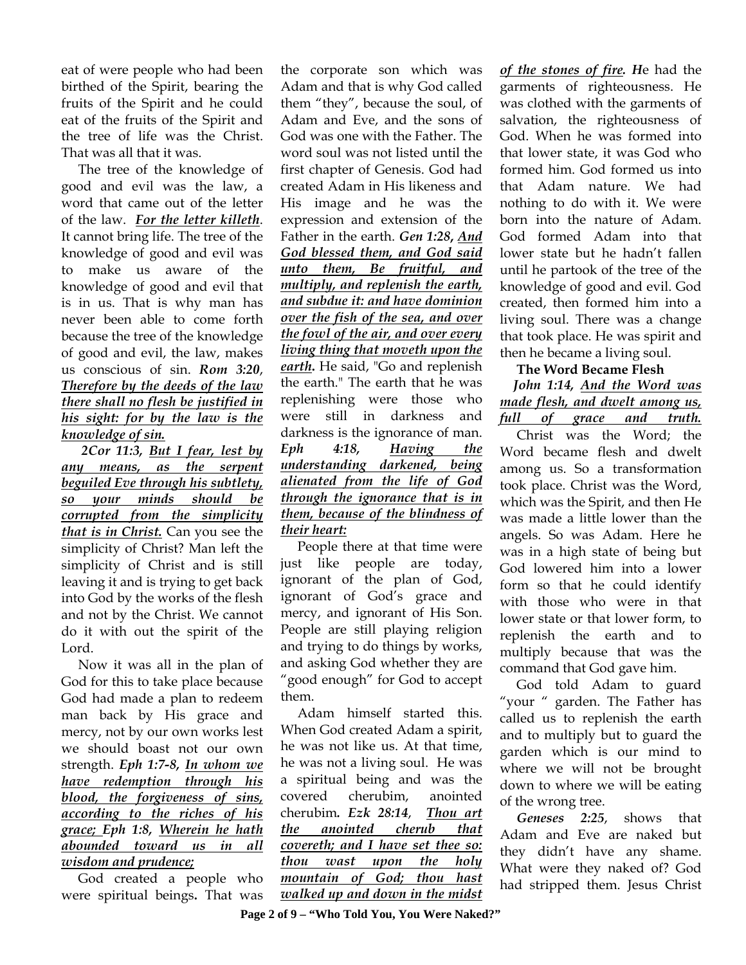eat of were people who had been birthed of the Spirit, bearing the fruits of the Spirit and he could eat of the fruits of the Spirit and the tree of life was the Christ. That was all that it was.

 The tree of the knowledge of good and evil was the law, a word that came out of the letter of the law. *For the letter killeth*. It cannot bring life. The tree of the knowledge of good and evil was to make us aware of the knowledge of good and evil that is in us. That is why man has never been able to come forth because the tree of the knowledge of good and evil, the law, makes us conscious of sin. *Rom 3:20*, *Therefore by the deeds of the law there shall no flesh be justified in his sight: for by the law is the knowledge of sin.*

 *2Cor 11:3, But I fear, lest by any means, as the serpent beguiled Eve through his subtlety, so your minds should be corrupted from the simplicity that is in Christ.* Can you see the simplicity of Christ? Man left the simplicity of Christ and is still leaving it and is trying to get back into God by the works of the flesh and not by the Christ. We cannot do it with out the spirit of the Lord.

 Now it was all in the plan of God for this to take place because God had made a plan to redeem man back by His grace and mercy, not by our own works lest we should boast not our own strength. *Eph 1:7-8, In whom we have redemption through his blood, the forgiveness of sins, according to the riches of his grace; Eph 1:8, Wherein he hath abounded toward us in all wisdom and prudence;*

God created a people who were spiritual beings**.** That was

the corporate son which was Adam and that is why God called them "they", because the soul, of Adam and Eve, and the sons of God was one with the Father. The word soul was not listed until the first chapter of Genesis. God had created Adam in His likeness and His image and he was the expression and extension of the Father in the earth. *Gen 1:28***,** *And God blessed them, and God said unto them, Be fruitful, and multiply, and replenish the earth, and subdue it: and have dominion over the fish of the sea, and over the fowl of the air, and over every living thing that moveth upon the earth***.** He said, "Go and replenish the earth." The earth that he was replenishing were those who were still in darkness and darkness is the ignorance of man. *Eph 4:18, Having the understanding darkened, being alienated from the life of God through the ignorance that is in them, because of the blindness of their heart:* 

 People there at that time were just like people are today, ignorant of the plan of God, ignorant of God's grace and mercy, and ignorant of His Son. People are still playing religion and trying to do things by works, and asking God whether they are "good enough" for God to accept them.

 Adam himself started this. When God created Adam a spirit, he was not like us. At that time, he was not a living soul. He was a spiritual being and was the covered cherubim, anointed cherubim*. Ezk 28:14*, *Thou art the anointed cherub that covereth; and I have set thee so: thou wast upon the holy mountain of God; thou hast walked up and down in the midst* 

*of the stones of fire. H*e had the garments of righteousness. He was clothed with the garments of salvation, the righteousness of God. When he was formed into that lower state, it was God who formed him. God formed us into that Adam nature. We had nothing to do with it. We were born into the nature of Adam. God formed Adam into that lower state but he hadn't fallen until he partook of the tree of the knowledge of good and evil. God created, then formed him into a living soul. There was a change that took place. He was spirit and then he became a living soul.

# **The Word Became Flesh**

 *John 1:14, And the Word was made flesh, and dwelt among us, full of grace and truth.* 

 Christ was the Word; the Word became flesh and dwelt among us. So a transformation took place. Christ was the Word, which was the Spirit, and then He was made a little lower than the angels. So was Adam. Here he was in a high state of being but God lowered him into a lower form so that he could identify with those who were in that lower state or that lower form, to replenish the earth and to multiply because that was the command that God gave him.

 God told Adam to guard "your " garden. The Father has called us to replenish the earth and to multiply but to guard the garden which is our mind to where we will not be brought down to where we will be eating of the wrong tree.

 *Geneses 2:25*, shows that Adam and Eve are naked but they didn't have any shame. What were they naked of? God had stripped them. Jesus Christ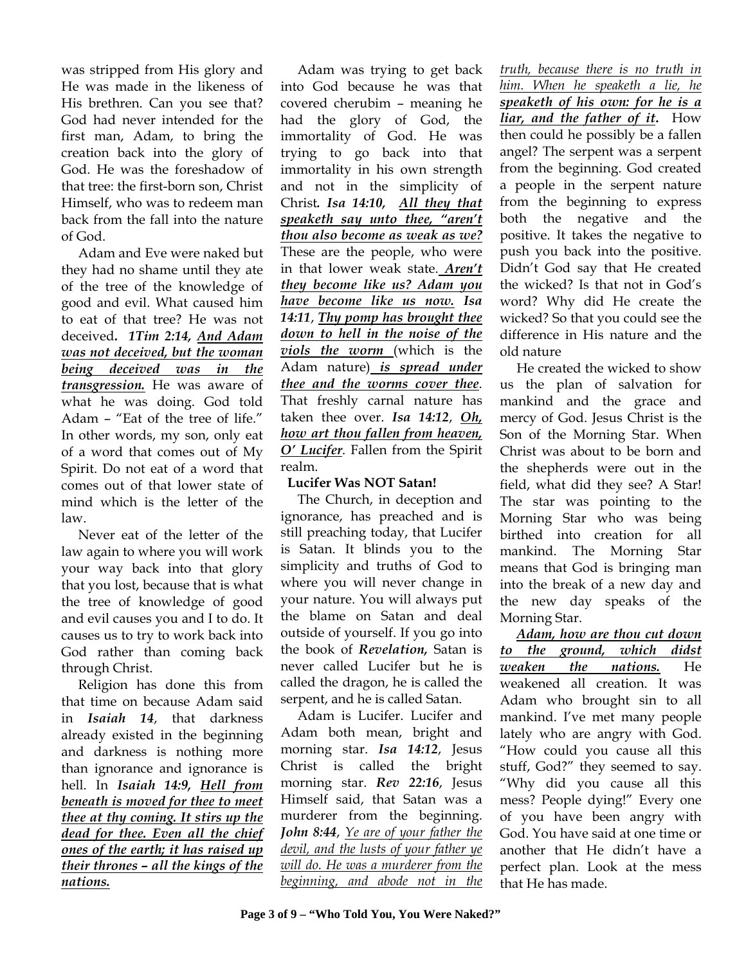was stripped from His glory and He was made in the likeness of His brethren. Can you see that? God had never intended for the first man, Adam, to bring the creation back into the glory of God. He was the foreshadow of that tree: the first-born son, Christ Himself, who was to redeem man back from the fall into the nature of God.

Adam and Eve were naked but they had no shame until they ate of the tree of the knowledge of good and evil. What caused him to eat of that tree? He was not deceived**.** *1Tim 2:14, And Adam was not deceived, but the woman being deceived was in the transgression.* He was aware of what he was doing. God told Adam – "Eat of the tree of life." In other words, my son, only eat of a word that comes out of My Spirit. Do not eat of a word that comes out of that lower state of mind which is the letter of the law.

 Never eat of the letter of the law again to where you will work your way back into that glory that you lost, because that is what the tree of knowledge of good and evil causes you and I to do. It causes us to try to work back into God rather than coming back through Christ.

 Religion has done this from that time on because Adam said in *Isaiah 14*, that darkness already existed in the beginning and darkness is nothing more than ignorance and ignorance is hell. In *Isaiah 14:9, Hell from beneath is moved for thee to meet thee at thy coming. It stirs up the dead for thee. Even all the chief ones of the earth; it has raised up their thrones – all the kings of the nations.*

Adam was trying to get back into God because he was that covered cherubim – meaning he had the glory of God, the immortality of God. He was trying to go back into that immortality in his own strength and not in the simplicity of Christ*. Isa 14:10, All they that speaketh say unto thee, "aren't thou also become as weak as we?*  These are the people, who were in that lower weak state. *Aren't they become like us? Adam you have become like us now. Isa 14:11*, *Thy pomp has brought thee down to hell in the noise of the viols the worm* (which is the Adam nature) *is spread under thee and the worms cover thee*. That freshly carnal nature has taken thee over. *Isa 14:12*, *Oh, how art thou fallen from heaven, O' Lucifer*. Fallen from the Spirit realm.

# **Lucifer Was NOT Satan!**

The Church, in deception and ignorance, has preached and is still preaching today, that Lucifer is Satan. It blinds you to the simplicity and truths of God to where you will never change in your nature. You will always put the blame on Satan and deal outside of yourself. If you go into the book of *Revelation,* Satan is never called Lucifer but he is called the dragon, he is called the serpent, and he is called Satan.

 Adam is Lucifer. Lucifer and Adam both mean, bright and morning star. *Isa 14:12*, Jesus Christ is called the bright morning star. *Rev 22:16*, Jesus Himself said, that Satan was a murderer from the beginning. *John 8:44*, *Ye are of your father the devil, and the lusts of your father ye will do. He was a murderer from the beginning, and abode not in the* 

*truth, because there is no truth in him. When he speaketh a lie, he speaketh of his own: for he is a liar, and the father of it***.** How then could he possibly be a fallen angel? The serpent was a serpent from the beginning. God created a people in the serpent nature from the beginning to express both the negative and the positive. It takes the negative to push you back into the positive. Didn't God say that He created the wicked? Is that not in God's word? Why did He create the wicked? So that you could see the difference in His nature and the old nature

 He created the wicked to show us the plan of salvation for mankind and the grace and mercy of God. Jesus Christ is the Son of the Morning Star. When Christ was about to be born and the shepherds were out in the field, what did they see? A Star! The star was pointing to the Morning Star who was being birthed into creation for all mankind. The Morning Star means that God is bringing man into the break of a new day and the new day speaks of the Morning Star.

 *Adam, how are thou cut down to the ground, which didst weaken the nations.* He weakened all creation. It was Adam who brought sin to all mankind. I've met many people lately who are angry with God. "How could you cause all this stuff, God?" they seemed to say. "Why did you cause all this mess? People dying!" Every one of you have been angry with God. You have said at one time or another that He didn't have a perfect plan. Look at the mess that He has made.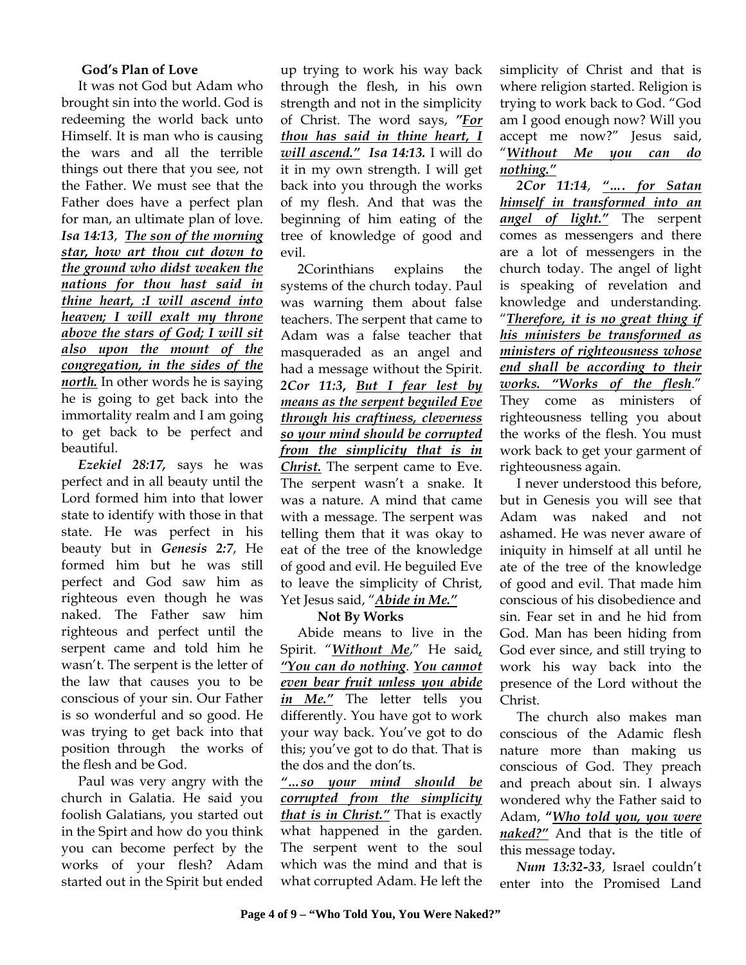#### **God's Plan of Love**

It was not God but Adam who brought sin into the world. God is redeeming the world back unto Himself. It is man who is causing the wars and all the terrible things out there that you see, not the Father. We must see that the Father does have a perfect plan for man, an ultimate plan of love. *Isa 14:13*, *The son of the morning star, how art thou cut down to the ground who didst weaken the nations for thou hast said in thine heart, :I will ascend into heaven; I will exalt my throne above the stars of God; I will sit also upon the mount of the congregation, in the sides of the north.* In other words he is saying he is going to get back into the immortality realm and I am going to get back to be perfect and beautiful.

 *Ezekiel 28:17,* says he was perfect and in all beauty until the Lord formed him into that lower state to identify with those in that state. He was perfect in his beauty but in *Genesis 2:7*, He formed him but he was still perfect and God saw him as righteous even though he was naked. The Father saw him righteous and perfect until the serpent came and told him he wasn't. The serpent is the letter of the law that causes you to be conscious of your sin. Our Father is so wonderful and so good. He was trying to get back into that position through the works of the flesh and be God.

 Paul was very angry with the church in Galatia. He said you foolish Galatians, you started out in the Spirt and how do you think you can become perfect by the works of your flesh? Adam started out in the Spirit but ended

up trying to work his way back through the flesh, in his own strength and not in the simplicity of Christ. The word says, *"For thou has said in thine heart, I will ascend." Isa 14:13.* I will do it in my own strength. I will get back into you through the works of my flesh. And that was the beginning of him eating of the tree of knowledge of good and evil.

 2Corinthians explains the systems of the church today. Paul was warning them about false teachers. The serpent that came to Adam was a false teacher that masqueraded as an angel and had a message without the Spirit. *2Cor 11:3***,** *But I fear lest by means as the serpent beguiled Eve through his craftiness, cleverness so your mind should be corrupted from the simplicity that is in Christ.* The serpent came to Eve. The serpent wasn't a snake. It was a nature. A mind that came with a message. The serpent was telling them that it was okay to eat of the tree of the knowledge of good and evil. He beguiled Eve to leave the simplicity of Christ, Yet Jesus said, "*Abide in Me."*

#### **Not By Works**

Abide means to live in the Spirit. "*Without Me*," He said*, "You can do nothing*. *You cannot even bear fruit unless you abide in Me."* The letter tells you differently. You have got to work your way back. You've got to do this; you've got to do that. That is the dos and the don'ts.

*"…so your mind should be corrupted from the simplicity that is in Christ."* That is exactly what happened in the garden. The serpent went to the soul which was the mind and that is what corrupted Adam. He left the

simplicity of Christ and that is where religion started. Religion is trying to work back to God. "God am I good enough now? Will you accept me now?" Jesus said, "*Without Me you can do nothing."*

 *2Cor 11:14*, *"…. for Satan himself in transformed into an angel of light."* The serpent comes as messengers and there are a lot of messengers in the church today. The angel of light is speaking of revelation and knowledge and understanding. "*Therefore, it is no great thing if his ministers be transformed as ministers of righteousness whose end shall be according to their works. "Works of the flesh*." They come as ministers of righteousness telling you about the works of the flesh. You must work back to get your garment of righteousness again.

 I never understood this before, but in Genesis you will see that Adam was naked and not ashamed. He was never aware of iniquity in himself at all until he ate of the tree of the knowledge of good and evil. That made him conscious of his disobedience and sin. Fear set in and he hid from God. Man has been hiding from God ever since, and still trying to work his way back into the presence of the Lord without the Christ.

 The church also makes man conscious of the Adamic flesh nature more than making us conscious of God. They preach and preach about sin. I always wondered why the Father said to Adam, **"***Who told you, you were naked?"* And that is the title of this message today*.*

 *Num 13:32-33*, Israel couldn't enter into the Promised Land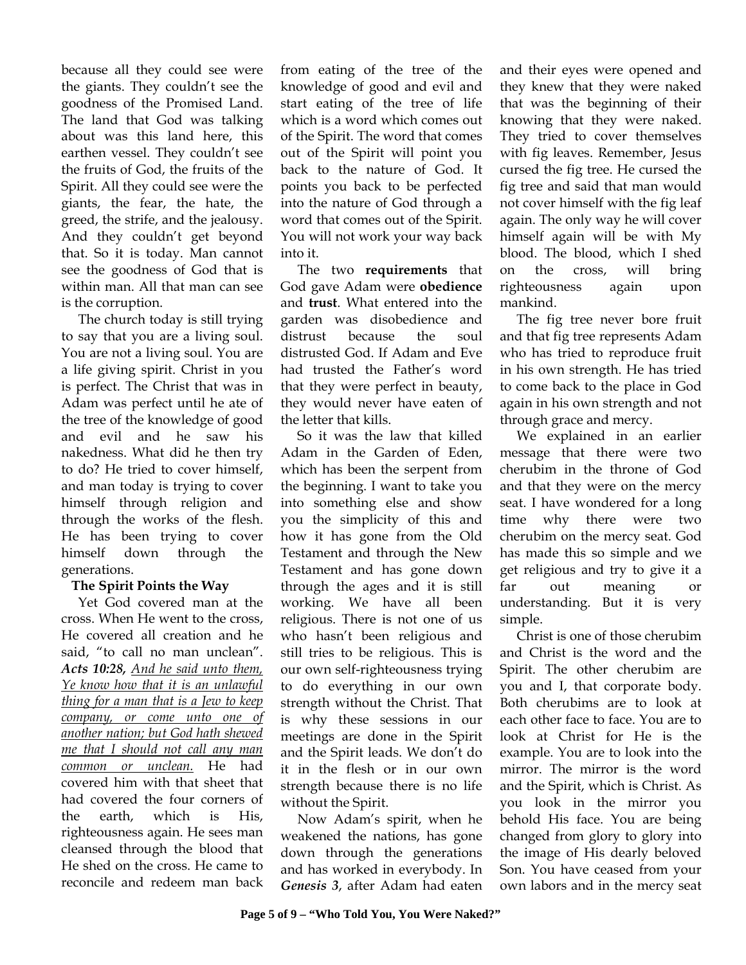because all they could see were the giants. They couldn't see the goodness of the Promised Land. The land that God was talking about was this land here, this earthen vessel. They couldn't see the fruits of God, the fruits of the Spirit. All they could see were the giants, the fear, the hate, the greed, the strife, and the jealousy. And they couldn't get beyond that. So it is today. Man cannot see the goodness of God that is within man. All that man can see is the corruption.

 The church today is still trying to say that you are a living soul. You are not a living soul. You are a life giving spirit. Christ in you is perfect. The Christ that was in Adam was perfect until he ate of the tree of the knowledge of good and evil and he saw his nakedness. What did he then try to do? He tried to cover himself, and man today is trying to cover himself through religion and through the works of the flesh. He has been trying to cover himself down through the generations.

# **The Spirit Points the Way**

 Yet God covered man at the cross. When He went to the cross, He covered all creation and he said, "to call no man unclean". *Acts 10:28, And he said unto them, Ye know how that it is an unlawful thing for a man that is a Jew to keep company, or come unto one of another nation; but God hath shewed me that I should not call any man common or unclean.* He had covered him with that sheet that had covered the four corners of the earth, which is His, righteousness again. He sees man cleansed through the blood that He shed on the cross. He came to reconcile and redeem man back

from eating of the tree of the knowledge of good and evil and start eating of the tree of life which is a word which comes out of the Spirit. The word that comes out of the Spirit will point you back to the nature of God. It points you back to be perfected into the nature of God through a word that comes out of the Spirit. You will not work your way back into it.

 The two **requirements** that God gave Adam were **obedience** and **trust**. What entered into the garden was disobedience and distrust because the soul distrusted God. If Adam and Eve had trusted the Father's word that they were perfect in beauty, they would never have eaten of the letter that kills.

 So it was the law that killed Adam in the Garden of Eden, which has been the serpent from the beginning. I want to take you into something else and show you the simplicity of this and how it has gone from the Old Testament and through the New Testament and has gone down through the ages and it is still working. We have all been religious. There is not one of us who hasn't been religious and still tries to be religious. This is our own self-righteousness trying to do everything in our own strength without the Christ. That is why these sessions in our meetings are done in the Spirit and the Spirit leads. We don't do it in the flesh or in our own strength because there is no life without the Spirit.

 Now Adam's spirit, when he weakened the nations, has gone down through the generations and has worked in everybody. In *Genesis 3*, after Adam had eaten

and their eyes were opened and they knew that they were naked that was the beginning of their knowing that they were naked. They tried to cover themselves with fig leaves. Remember, Jesus cursed the fig tree. He cursed the fig tree and said that man would not cover himself with the fig leaf again. The only way he will cover himself again will be with My blood. The blood, which I shed on the cross, will bring righteousness again upon mankind.

 The fig tree never bore fruit and that fig tree represents Adam who has tried to reproduce fruit in his own strength. He has tried to come back to the place in God again in his own strength and not through grace and mercy.

 We explained in an earlier message that there were two cherubim in the throne of God and that they were on the mercy seat. I have wondered for a long time why there were two cherubim on the mercy seat. God has made this so simple and we get religious and try to give it a far out meaning or understanding. But it is very simple.

 Christ is one of those cherubim and Christ is the word and the Spirit. The other cherubim are you and I, that corporate body. Both cherubims are to look at each other face to face. You are to look at Christ for He is the example. You are to look into the mirror. The mirror is the word and the Spirit, which is Christ. As you look in the mirror you behold His face. You are being changed from glory to glory into the image of His dearly beloved Son. You have ceased from your own labors and in the mercy seat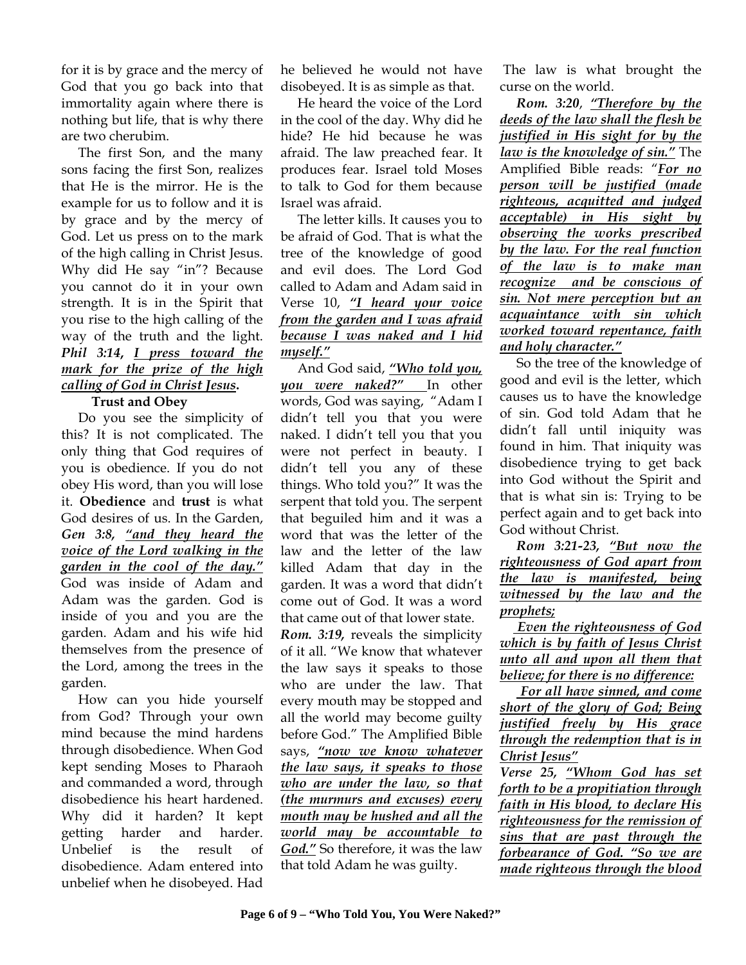for it is by grace and the mercy of God that you go back into that immortality again where there is nothing but life, that is why there are two cherubim.

The first Son, and the many sons facing the first Son, realizes that He is the mirror. He is the example for us to follow and it is by grace and by the mercy of God. Let us press on to the mark of the high calling in Christ Jesus. Why did He say "in"? Because you cannot do it in your own strength. It is in the Spirit that you rise to the high calling of the way of the truth and the light. *Phil 3:14***,** *I press toward the mark for the prize of the high calling of God in Christ Jesus***.** 

#### **Trust and Obey**

 Do you see the simplicity of this? It is not complicated. The only thing that God requires of you is obedience. If you do not obey His word, than you will lose it. **Obedience** and **trust** is what God desires of us. In the Garden, *Gen 3:8, "and they heard the voice of the Lord walking in the garden in the cool of the day."* God was inside of Adam and Adam was the garden. God is inside of you and you are the garden. Adam and his wife hid themselves from the presence of the Lord, among the trees in the garden.

 How can you hide yourself from God? Through your own mind because the mind hardens through disobedience. When God kept sending Moses to Pharaoh and commanded a word, through disobedience his heart hardened. Why did it harden? It kept getting harder and harder. Unbelief is the result of disobedience. Adam entered into unbelief when he disobeyed. Had

he believed he would not have disobeyed. It is as simple as that.

 He heard the voice of the Lord in the cool of the day. Why did he hide? He hid because he was afraid. The law preached fear. It produces fear. Israel told Moses to talk to God for them because Israel was afraid.

 The letter kills. It causes you to be afraid of God. That is what the tree of the knowledge of good and evil does. The Lord God called to Adam and Adam said in Verse 10, *"I heard your voice from the garden and I was afraid because I was naked and I hid myself."*

And God said, *"Who told you, you were naked?"* In other words, God was saying, "Adam I didn't tell you that you were naked. I didn't tell you that you were not perfect in beauty. I didn't tell you any of these things. Who told you?" It was the serpent that told you. The serpent that beguiled him and it was a word that was the letter of the law and the letter of the law killed Adam that day in the garden. It was a word that didn't come out of God. It was a word that came out of that lower state.

*Rom. 3:19,* reveals the simplicity of it all. "We know that whatever the law says it speaks to those who are under the law. That every mouth may be stopped and all the world may become guilty before God." The Amplified Bible says, *"now we know whatever the law says, it speaks to those who are under the law, so that (the murmurs and excuses) every mouth may be hushed and all the world may be accountable to God."* So therefore, it was the law that told Adam he was guilty.

 The law is what brought the curse on the world.

 *Rom. 3:20*, *"Therefore by the deeds of the law shall the flesh be justified in His sight for by the law is the knowledge of sin."* The Amplified Bible reads: "*For no person will be justified (made righteous, acquitted and judged acceptable) in His sight by observing the works prescribed by the law. For the real function of the law is to make man recognize and be conscious of sin. Not mere perception but an acquaintance with sin which worked toward repentance, faith and holy character."* 

 So the tree of the knowledge of good and evil is the letter, which causes us to have the knowledge of sin. God told Adam that he didn't fall until iniquity was found in him. That iniquity was disobedience trying to get back into God without the Spirit and that is what sin is: Trying to be perfect again and to get back into God without Christ.

 *Rom 3:21-23, "But now the righteousness of God apart from the law is manifested, being witnessed by the law and the prophets;*

 *Even the righteousness of God which is by faith of Jesus Christ unto all and upon all them that believe; for there is no difference:*

 *For all have sinned, and come short of the glory of God; Being justified freely by His grace through the redemption that is in Christ Jesus"*

*Verse 25, "Whom God has set forth to be a propitiation through faith in His blood, to declare His righteousness for the remission of sins that are past through the forbearance of God. "So we are made righteous through the blood*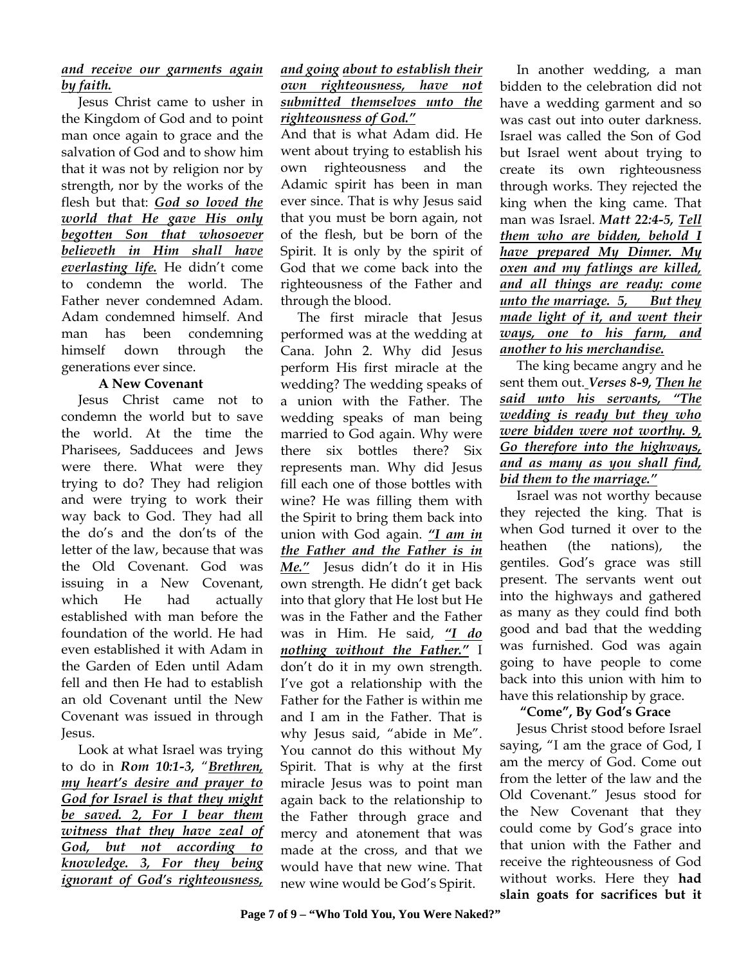# *and receive our garments again by faith.*

 Jesus Christ came to usher in the Kingdom of God and to point man once again to grace and the salvation of God and to show him that it was not by religion nor by strength, nor by the works of the flesh but that: *God so loved the world that He gave His only begotten Son that whosoever believeth in Him shall have everlasting life.* He didn't come to condemn the world. The Father never condemned Adam. Adam condemned himself. And man has been condemning himself down through the generations ever since.

# **A New Covenant**

 Jesus Christ came not to condemn the world but to save the world. At the time the Pharisees, Sadducees and Jews were there. What were they trying to do? They had religion and were trying to work their way back to God. They had all the do's and the don'ts of the letter of the law, because that was the Old Covenant. God was issuing in a New Covenant, which He had actually established with man before the foundation of the world. He had even established it with Adam in the Garden of Eden until Adam fell and then He had to establish an old Covenant until the New Covenant was issued in through Jesus.

 Look at what Israel was trying to do in *Rom 10:1-3,* "*Brethren, my heart's desire and prayer to God for Israel is that they might be saved. 2, For I bear them witness that they have zeal of God, but not according to knowledge. 3, For they being ignorant of God's righteousness,* 

#### *and going about to establish their own righteousness, have not submitted themselves unto the righteousness of God."*

And that is what Adam did. He went about trying to establish his own righteousness and the Adamic spirit has been in man ever since. That is why Jesus said that you must be born again, not of the flesh, but be born of the Spirit. It is only by the spirit of God that we come back into the righteousness of the Father and through the blood.

 The first miracle that Jesus performed was at the wedding at Cana. John 2. Why did Jesus perform His first miracle at the wedding? The wedding speaks of a union with the Father. The wedding speaks of man being married to God again. Why were there six bottles there? Six represents man. Why did Jesus fill each one of those bottles with wine? He was filling them with the Spirit to bring them back into union with God again. *"I am in the Father and the Father is in Me."* Jesus didn't do it in His own strength. He didn't get back into that glory that He lost but He was in the Father and the Father was in Him. He said, *"I do nothing without the Father."* I don't do it in my own strength. I've got a relationship with the Father for the Father is within me and I am in the Father. That is why Jesus said, "abide in Me". You cannot do this without My Spirit. That is why at the first miracle Jesus was to point man again back to the relationship to the Father through grace and mercy and atonement that was made at the cross, and that we would have that new wine. That new wine would be God's Spirit.

 In another wedding, a man bidden to the celebration did not have a wedding garment and so was cast out into outer darkness. Israel was called the Son of God but Israel went about trying to create its own righteousness through works. They rejected the king when the king came. That man was Israel. *Matt 22:4-5, Tell them who are bidden, behold I have prepared My Dinner. My oxen and my fatlings are killed, and all things are ready: come unto the marriage. 5, But they made light of it, and went their ways, one to his farm, and another to his merchandise.*

The king became angry and he sent them out. *Verses 8-9, Then he said unto his servants, "The wedding is ready but they who were bidden were not worthy. 9, Go therefore into the highways, and as many as you shall find, bid them to the marriage."*

Israel was not worthy because they rejected the king. That is when God turned it over to the heathen (the nations), the gentiles. God's grace was still present. The servants went out into the highways and gathered as many as they could find both good and bad that the wedding was furnished. God was again going to have people to come back into this union with him to have this relationship by grace.

# **"Come", By God's Grace**

Jesus Christ stood before Israel saying, "I am the grace of God, I am the mercy of God. Come out from the letter of the law and the Old Covenant." Jesus stood for the New Covenant that they could come by God's grace into that union with the Father and receive the righteousness of God without works. Here they **had slain goats for sacrifices but it**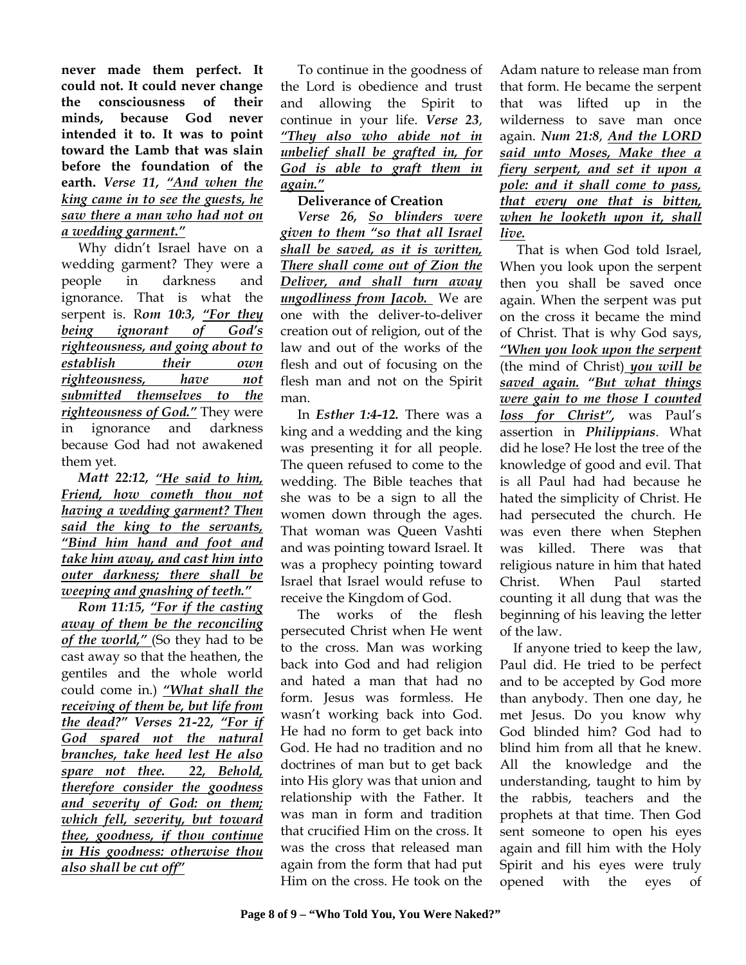**never made them perfect. It could not. It could never change the consciousness of their minds, because God never intended it to. It was to point toward the Lamb that was slain before the foundation of the earth.** *Verse 11, "And when the king came in to see the guests, he saw there a man who had not on a wedding garment."*

Why didn't Israel have on a wedding garment? They were a people in darkness and ignorance. That is what the serpent is. R*om 10:3, "For they being ignorant of God's righteousness, and going about to establish their own righteousness, have not submitted themselves to the righteousness of God."* They were in ignorance and darkness because God had not awakened them yet.

 *Matt 22:12, "He said to him, Friend, how cometh thou not having a wedding garment? Then said the king to the servants, "Bind him hand and foot and take him away, and cast him into outer darkness; there shall be weeping and gnashing of teeth."*

 *Rom 11:15, "For if the casting away of them be the reconciling of the world,"* (So they had to be cast away so that the heathen, the gentiles and the whole world could come in.) *"What shall the receiving of them be, but life from the dead?" Verses 21-22, "For if God spared not the natural branches, take heed lest He also spare not thee. 22, Behold, therefore consider the goodness and severity of God: on them; which fell, severity, but toward thee, goodness, if thou continue in His goodness: otherwise thou also shall be cut off"*

 To continue in the goodness of the Lord is obedience and trust and allowing the Spirit to continue in your life. *Verse 23*, *"They also who abide not in unbelief shall be grafted in, for God is able to graft them in again."*

# **Deliverance of Creation**

*Verse 26, So blinders were given to them "so that all Israel shall be saved, as it is written, There shall come out of Zion the Deliver, and shall turn away ungodliness from Jacob.* We are one with the deliver-to-deliver creation out of religion, out of the law and out of the works of the flesh and out of focusing on the flesh man and not on the Spirit man.

 In *Esther 1:4-12.* There was a king and a wedding and the king was presenting it for all people. The queen refused to come to the wedding. The Bible teaches that she was to be a sign to all the women down through the ages. That woman was Queen Vashti and was pointing toward Israel. It was a prophecy pointing toward Israel that Israel would refuse to receive the Kingdom of God.

 The works of the flesh persecuted Christ when He went to the cross. Man was working back into God and had religion and hated a man that had no form. Jesus was formless. He wasn't working back into God. He had no form to get back into God. He had no tradition and no doctrines of man but to get back into His glory was that union and relationship with the Father. It was man in form and tradition that crucified Him on the cross. It was the cross that released man again from the form that had put Him on the cross. He took on the

Adam nature to release man from that form. He became the serpent that was lifted up in the wilderness to save man once again. *Num 21:8*, *And the LORD said unto Moses, Make thee a fiery serpent, and set it upon a pole: and it shall come to pass, that every one that is bitten, when he looketh upon it, shall live.*

 That is when God told Israel, When you look upon the serpent then you shall be saved once again. When the serpent was put on the cross it became the mind of Christ. That is why God says, *"When you look upon the serpent*  (the mind of Christ) *you will be saved again. "But what things were gain to me those I counted loss for Christ",* was Paul's assertion in *Philippians*. What did he lose? He lost the tree of the knowledge of good and evil. That is all Paul had had because he hated the simplicity of Christ. He had persecuted the church. He was even there when Stephen was killed. There was that religious nature in him that hated Christ. When Paul started counting it all dung that was the beginning of his leaving the letter of the law.

 If anyone tried to keep the law, Paul did. He tried to be perfect and to be accepted by God more than anybody. Then one day, he met Jesus. Do you know why God blinded him? God had to blind him from all that he knew. All the knowledge and the understanding, taught to him by the rabbis, teachers and the prophets at that time. Then God sent someone to open his eyes again and fill him with the Holy Spirit and his eyes were truly opened with the eyes of